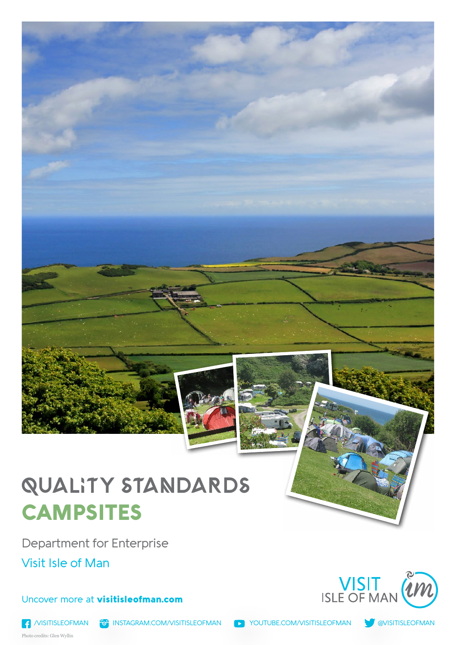

# QUALITY STANDARDS **CAMPSITES**

Department for Enterprise

Visit Isle of Man

### Uncover more at visitisleofman.com





Photo credits: Glen Wyllin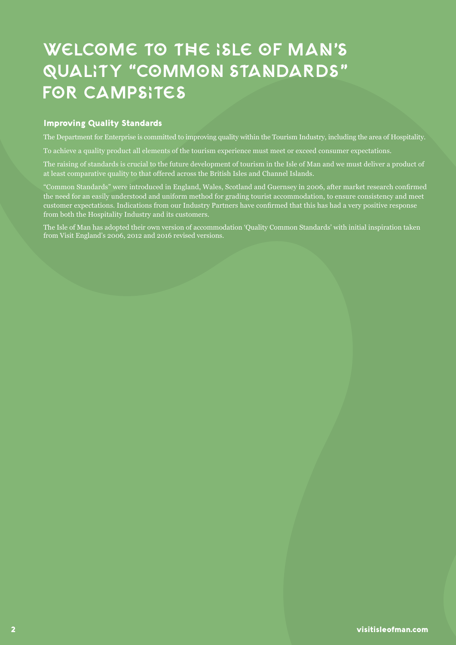# WELCOME TO THE ISLE OF MAN'S QUALITY "COMMON STANDARDS" FOR Campsites

#### Improving Quality Standards

The Department for Enterprise is committed to improving quality within the Tourism Industry, including the area of Hospitality.

To achieve a quality product all elements of the tourism experience must meet or exceed consumer expectations.

The raising of standards is crucial to the future development of tourism in the Isle of Man and we must deliver a product of at least comparative quality to that offered across the British Isles and Channel Islands.

"Common Standards" were introduced in England, Wales, Scotland and Guernsey in 2006, after market research confirmed the need for an easily understood and uniform method for grading tourist accommodation, to ensure consistency and meet customer expectations. Indications from our Industry Partners have confirmed that this has had a very positive response from both the Hospitality Industry and its customers.

The Isle of Man has adopted their own version of accommodation 'Quality Common Standards' with initial inspiration taken from Visit England's 2006, 2012 and 2016 revised versions.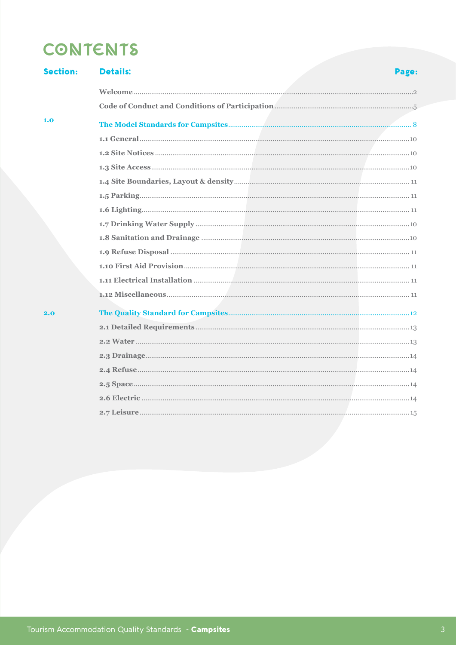## **CONTENTS**

| <b>Section:</b> | <b>Details:</b> | Page: |
|-----------------|-----------------|-------|
|                 |                 |       |
|                 |                 |       |
| 1.0             |                 |       |
|                 |                 |       |
|                 |                 |       |
|                 |                 |       |
|                 |                 |       |
|                 |                 |       |
|                 |                 |       |
|                 |                 |       |
|                 |                 |       |
|                 |                 |       |
|                 |                 |       |
|                 |                 |       |
|                 |                 |       |
| 2.0             |                 |       |
|                 |                 |       |
|                 |                 |       |
|                 |                 |       |
|                 |                 |       |
|                 |                 |       |
|                 |                 |       |
|                 |                 |       |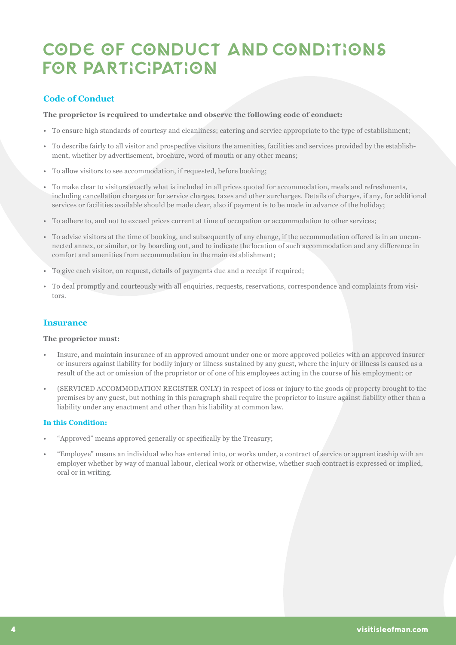## CODE OF CONDUCT AND CONDITIONS FOR PARTICIPATION

### **Code of Conduct**

**The proprietor is required to undertake and observe the following code of conduct:**

- To ensure high standards of courtesy and cleanliness; catering and service appropriate to the type of establishment;
- To describe fairly to all visitor and prospective visitors the amenities, facilities and services provided by the establishment, whether by advertisement, brochure, word of mouth or any other means;
- To allow visitors to see accommodation, if requested, before booking;
- To make clear to visitors exactly what is included in all prices quoted for accommodation, meals and refreshments, including cancellation charges or for service charges, taxes and other surcharges. Details of charges, if any, for additional services or facilities available should be made clear, also if payment is to be made in advance of the holiday;
- To adhere to, and not to exceed prices current at time of occupation or accommodation to other services;
- To advise visitors at the time of booking, and subsequently of any change, if the accommodation offered is in an unconnected annex, or similar, or by boarding out, and to indicate the location of such accommodation and any difference in comfort and amenities from accommodation in the main establishment;
- To give each visitor, on request, details of payments due and a receipt if required;
- To deal promptly and courteously with all enquiries, requests, reservations, correspondence and complaints from visitors.

#### **Insurance**

#### **The proprietor must:**

- Insure, and maintain insurance of an approved amount under one or more approved policies with an approved insurer or insurers against liability for bodily injury or illness sustained by any guest, where the injury or illness is caused as a result of the act or omission of the proprietor or of one of his employees acting in the course of his employment; or
- (SERVICED ACCOMMODATION REGISTER ONLY) in respect of loss or injury to the goods or property brought to the premises by any guest, but nothing in this paragraph shall require the proprietor to insure against liability other than a liability under any enactment and other than his liability at common law.

#### **In this Condition:**

- "Approved" means approved generally or specifically by the Treasury;
- "Employee" means an individual who has entered into, or works under, a contract of service or apprenticeship with an employer whether by way of manual labour, clerical work or otherwise, whether such contract is expressed or implied, oral or in writing.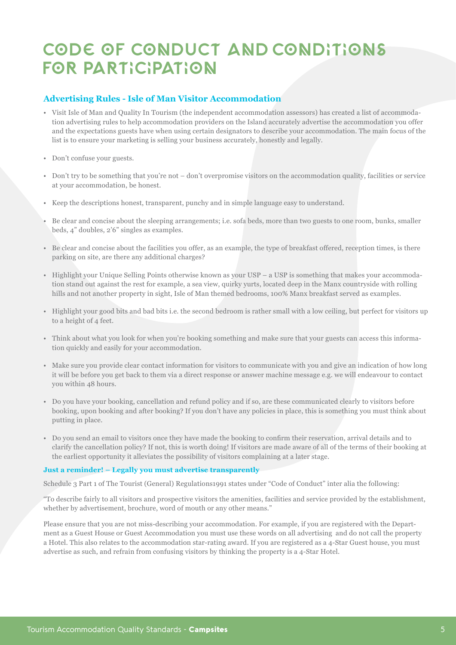## CODE OF CONDUCT AND CONDITIONS FOR PARTICIPATION

#### **Advertising Rules - Isle of Man Visitor Accommodation**

- Visit Isle of Man and Quality In Tourism (the independent accommodation assessors) has created a list of accommodation advertising rules to help accommodation providers on the Island accurately advertise the accommodation you offer and the expectations guests have when using certain designators to describe your accommodation. The main focus of the list is to ensure your marketing is selling your business accurately, honestly and legally.
- Don't confuse your guests.
- Don't try to be something that you're not don't overpromise visitors on the accommodation quality, facilities or service at your accommodation, be honest.
- Keep the descriptions honest, transparent, punchy and in simple language easy to understand.
- Be clear and concise about the sleeping arrangements; i.e. sofa beds, more than two guests to one room, bunks, smaller beds, 4" doubles, 2'6" singles as examples.
- Be clear and concise about the facilities you offer, as an example, the type of breakfast offered, reception times, is there parking on site, are there any additional charges?
- Highlight your Unique Selling Points otherwise known as your USP a USP is something that makes your accommodation stand out against the rest for example, a sea view, quirky yurts, located deep in the Manx countryside with rolling hills and not another property in sight, Isle of Man themed bedrooms, 100% Manx breakfast served as examples.
- Highlight your good bits and bad bits i.e. the second bedroom is rather small with a low ceiling, but perfect for visitors up to a height of 4 feet.
- Think about what you look for when you're booking something and make sure that your guests can access this information quickly and easily for your accommodation.
- Make sure you provide clear contact information for visitors to communicate with you and give an indication of how long it will be before you get back to them via a direct response or answer machine message e.g. we will endeavour to contact you within 48 hours.
- Do you have your booking, cancellation and refund policy and if so, are these communicated clearly to visitors before booking, upon booking and after booking? If you don't have any policies in place, this is something you must think about putting in place.
- Do you send an email to visitors once they have made the booking to confirm their reservation, arrival details and to clarify the cancellation policy? If not, this is worth doing! If visitors are made aware of all of the terms of their booking at the earliest opportunity it alleviates the possibility of visitors complaining at a later stage.

#### **Just a reminder! – Legally you must advertise transparently**

Schedule 3 Part 1 of The Tourist (General) Regulations1991 states under "Code of Conduct" inter alia the following:

"To describe fairly to all visitors and prospective visitors the amenities, facilities and service provided by the establishment, whether by advertisement, brochure, word of mouth or any other means."

Please ensure that you are not miss-describing your accommodation. For example, if you are registered with the Department as a Guest House or Guest Accommodation you must use these words on all advertising and do not call the property a Hotel. This also relates to the accommodation star-rating award. If you are registered as a 4-Star Guest house, you must advertise as such, and refrain from confusing visitors by thinking the property is a 4-Star Hotel.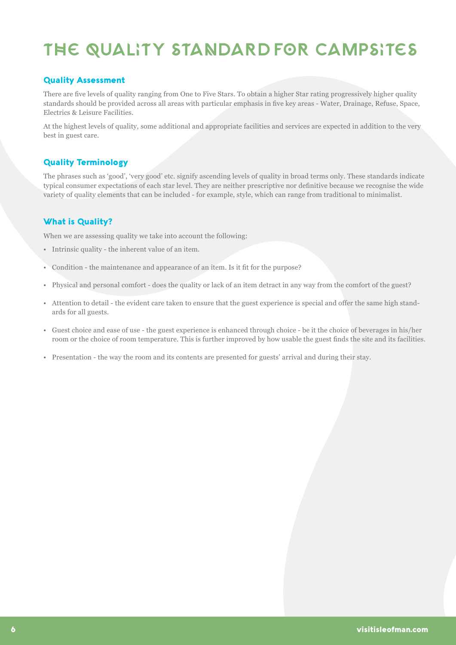# THE QUALITY STANDARD FOR Campsites

### Quality Assessment

There are five levels of quality ranging from One to Five Stars. To obtain a higher Star rating progressively higher quality standards should be provided across all areas with particular emphasis in five key areas - Water, Drainage, Refuse, Space, Electrics & Leisure Facilities.

At the highest levels of quality, some additional and appropriate facilities and services are expected in addition to the very best in guest care.

#### Quality Terminology

The phrases such as 'good', 'very good' etc. signify ascending levels of quality in broad terms only. These standards indicate typical consumer expectations of each star level. They are neither prescriptive nor definitive because we recognise the wide variety of quality elements that can be included - for example, style, which can range from traditional to minimalist.

### What is Quality?

When we are assessing quality we take into account the following:

- Intrinsic quality the inherent value of an item.
- Condition the maintenance and appearance of an item. Is it fit for the purpose?
- Physical and personal comfort does the quality or lack of an item detract in any way from the comfort of the guest?
- Attention to detail the evident care taken to ensure that the guest experience is special and offer the same high standards for all guests.
- Guest choice and ease of use the guest experience is enhanced through choice be it the choice of beverages in his/her room or the choice of room temperature. This is further improved by how usable the guest finds the site and its facilities.
- Presentation the way the room and its contents are presented for guests' arrival and during their stay.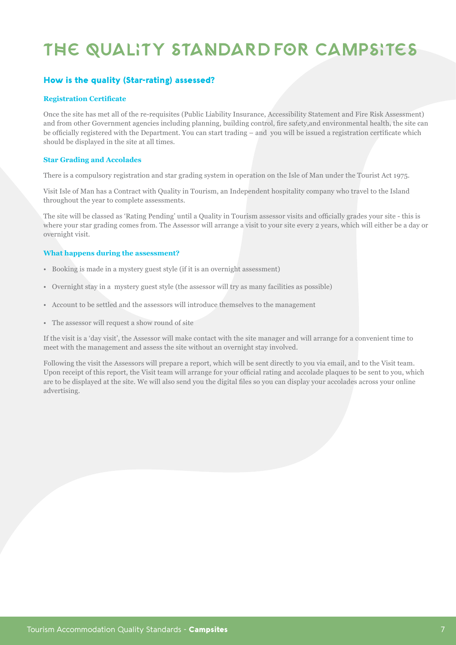# THE QUALITY STANDARD FOR Campsites

### How is the quality (Star-rating) assessed?

#### **Registration Certificate**

Once the site has met all of the re-requisites (Public Liability Insurance, Accessibility Statement and Fire Risk Assessment) and from other Government agencies including planning, building control, fire safety,and environmental health, the site can be officially registered with the Department. You can start trading – and you will be issued a registration certificate which should be displayed in the site at all times.

#### **Star Grading and Accolades**

There is a compulsory registration and star grading system in operation on the Isle of Man under the Tourist Act 1975.

Visit Isle of Man has a Contract with Quality in Tourism, an Independent hospitality company who travel to the Island throughout the year to complete assessments.

The site will be classed as 'Rating Pending' until a Quality in Tourism assessor visits and officially grades your site - this is where your star grading comes from. The Assessor will arrange a visit to your site every 2 years, which will either be a day or overnight visit.

#### **What happens during the assessment?**

- Booking is made in a mystery guest style (if it is an overnight assessment)
- Overnight stay in a mystery guest style (the assessor will try as many facilities as possible)
- Account to be settled and the assessors will introduce themselves to the management
- The assessor will request a show round of site

If the visit is a 'day visit', the Assessor will make contact with the site manager and will arrange for a convenient time to meet with the management and assess the site without an overnight stay involved.

Following the visit the Assessors will prepare a report, which will be sent directly to you via email, and to the Visit team. Upon receipt of this report, the Visit team will arrange for your official rating and accolade plaques to be sent to you, which are to be displayed at the site. We will also send you the digital files so you can display your accolades across your online advertising.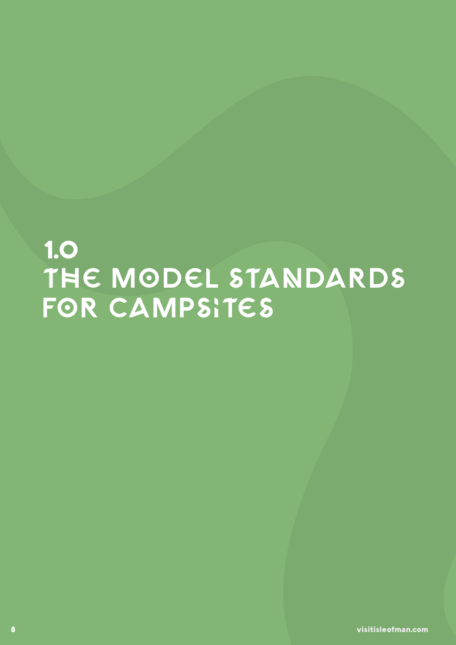# 1.0 THE MODEL STANDARDS for Campsites

8 visitisleofman.com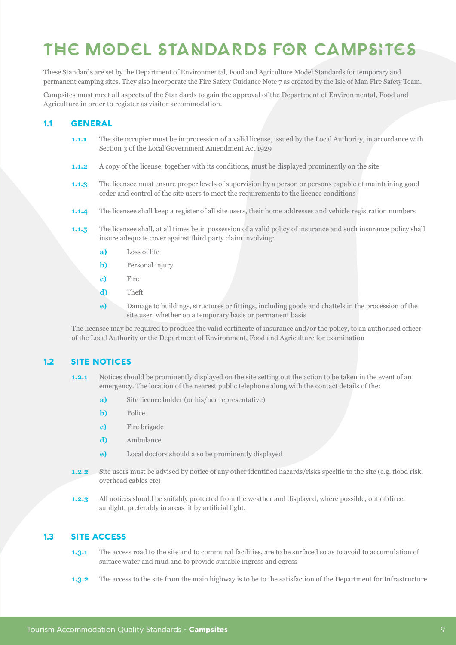# THE Model Standards FOR campsites

These Standards are set by the Department of Environmental, Food and Agriculture Model Standards for temporary and permanent camping sites. They also incorporate the Fire Safety Guidance Note 7 as created by the Isle of Man Fire Safety Team.

Campsites must meet all aspects of the Standards to gain the approval of the Department of Environmental, Food and Agriculture in order to register as visitor accommodation.

#### 1.1 General

- **1.1.1** The site occupier must be in procession of a valid license, issued by the Local Authority, in accordance with Section 3 of the Local Government Amendment Act 1929
- **1.1.2** A copy of the license, together with its conditions, must be displayed prominently on the site
- **1.1.3** The licensee must ensure proper levels of supervision by a person or persons capable of maintaining good order and control of the site users to meet the requirements to the licence conditions
- **1.1.4** The licensee shall keep a register of all site users, their home addresses and vehicle registration numbers
- **1.1.5** The licensee shall, at all times be in possession of a valid policy of insurance and such insurance policy shall insure adequate cover against third party claim involving:
	- **a)** Loss of life
	- **b)** Personal injury
	- **c)** Fire
	- **d)** Theft
	- **e)** Damage to buildings, structures or fittings, including goods and chattels in the procession of the site user, whether on a temporary basis or permanent basis

The licensee may be required to produce the valid certificate of insurance and/or the policy, to an authorised officer of the Local Authority or the Department of Environment, Food and Agriculture for examination

#### 1.2 SITE NOTICES

- **1.2.1** Notices should be prominently displayed on the site setting out the action to be taken in the event of an emergency. The location of the nearest public telephone along with the contact details of the:
	- **a)** Site licence holder (or his/her representative)
	- **b)** Police
	- **c)** Fire brigade
	- **d)** Ambulance
	- **e)** Local doctors should also be prominently displayed
- **1.2.2** Site users must be advised by notice of any other identified hazards/risks specific to the site (e.g. flood risk, overhead cables etc)
- **1.2.3** All notices should be suitably protected from the weather and displayed, where possible, out of direct sunlight, preferably in areas lit by artificial light.

#### 1.3 Site Access

- **1.3.1** The access road to the site and to communal facilities, are to be surfaced so as to avoid to accumulation of surface water and mud and to provide suitable ingress and egress
- **1.3.2** The access to the site from the main highway is to be to the satisfaction of the Department for Infrastructure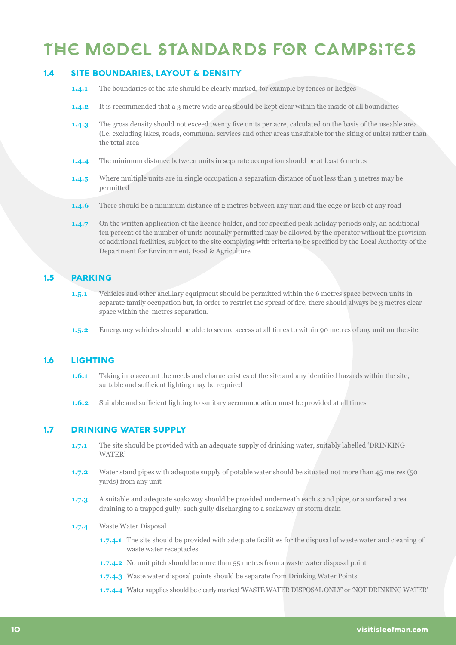# THE Model Standards FOR campsites

#### 1.4 Site Boundaries, Layout & Density

- **1.4.1** The boundaries of the site should be clearly marked, for example by fences or hedges
- **1.4.2** It is recommended that a 3 metre wide area should be kept clear within the inside of all boundaries
- **1.4.3** The gross density should not exceed twenty five units per acre, calculated on the basis of the useable area (i.e. excluding lakes, roads, communal services and other areas unsuitable for the siting of units) rather than the total area
- **1.4.4** The minimum distance between units in separate occupation should be at least 6 metres
- **1.4.5** Where multiple units are in single occupation a separation distance of not less than 3 metres may be permitted
- **1.4.6** There should be a minimum distance of 2 metres between any unit and the edge or kerb of any road
- **1.4.7** On the written application of the licence holder, and for specified peak holiday periods only, an additional ten percent of the number of units normally permitted may be allowed by the operator without the provision of additional facilities, subject to the site complying with criteria to be specified by the Local Authority of the Department for Environment, Food & Agriculture

### 1.5 Parking

- **1.5.1** Vehicles and other ancillary equipment should be permitted within the 6 metres space between units in separate family occupation but, in order to restrict the spread of fire, there should always be 3 metres clear space within the metres separation.
- **1.5.2** Emergency vehicles should be able to secure access at all times to within 90 metres of any unit on the site.

#### 1.6 Lighting

- **1.6.1** Taking into account the needs and characteristics of the site and any identified hazards within the site, suitable and sufficient lighting may be required
- **1.6.2** Suitable and sufficient lighting to sanitary accommodation must be provided at all times

#### 1.7 Drinking Water Supply

- **1.7.1** The site should be provided with an adequate supply of drinking water, suitably labelled 'DRINKING WATER'
- **1.7.2** Water stand pipes with adequate supply of potable water should be situated not more than 45 metres (50 yards) from any unit
- **1.7.3** A suitable and adequate soakaway should be provided underneath each stand pipe, or a surfaced area draining to a trapped gully, such gully discharging to a soakaway or storm drain
- **1.7.4** Waste Water Disposal
	- **1.7.4.1** The site should be provided with adequate facilities for the disposal of waste water and cleaning of waste water receptacles
	- **1.7.4.2** No unit pitch should be more than 55 metres from a waste water disposal point
	- **1.7.4.3** Waste water disposal points should be separate from Drinking Water Points
	- **1.7.4.4** Water supplies should be clearly marked 'WASTE WATER DISPOSAL ONLY' or 'NOT DRINKING WATER'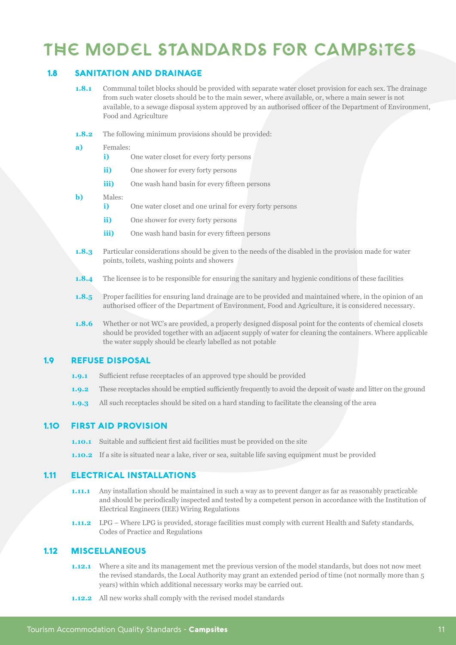# THE Model Standards FOR campsites

#### 1.8 Sanitation and Drainage

- **1.8.1** Communal toilet blocks should be provided with separate water closet provision for each sex. The drainage from such water closets should be to the main sewer, where available, or, where a main sewer is not available, to a sewage disposal system approved by an authorised officer of the Department of Environment, Food and Agriculture
- **1.8.2** The following minimum provisions should be provided:

#### **a)** Females:

- **i)** One water closet for every forty persons
- **ii)** One shower for every forty persons
- **iii)** One wash hand basin for every fifteen persons
- **b)** Males:
	- **i)** One water closet and one urinal for every forty persons
	- **ii)** One shower for every forty persons
	- **iii)** One wash hand basin for every fifteen persons
- **1.8.3** Particular considerations should be given to the needs of the disabled in the provision made for water points, toilets, washing points and showers
- **1.8.4** The licensee is to be responsible for ensuring the sanitary and hygienic conditions of these facilities
- **1.8.5** Proper facilities for ensuring land drainage are to be provided and maintained where, in the opinion of an authorised officer of the Department of Environment, Food and Agriculture, it is considered necessary.
- **1.8.6** Whether or not WC's are provided, a properly designed disposal point for the contents of chemical closets should be provided together with an adjacent supply of water for cleaning the containers. Where applicable the water supply should be clearly labelled as not potable

#### 1.9 Refuse disposal

- **1.9.1** Sufficient refuse receptacles of an approved type should be provided
- **1.9.2** These receptacles should be emptied sufficiently frequently to avoid the deposit of waste and litter on the ground
- **1.9.3** All such receptacles should be sited on a hard standing to facilitate the cleansing of the area

#### 1.10 First Aid Provision

- **1.10.1** Suitable and sufficient first aid facilities must be provided on the site
- **1.10.2** If a site is situated near a lake, river or sea, suitable life saving equipment must be provided

#### 1.11 electrical installations

- **1.11.1** Any installation should be maintained in such a way as to prevent danger as far as reasonably practicable and should be periodically inspected and tested by a competent person in accordance with the Institution of Electrical Engineers (IEE) Wiring Regulations
- **1.11.2** LPG Where LPG is provided, storage facilities must comply with current Health and Safety standards, Codes of Practice and Regulations

#### 1.12 Miscellaneous

- **1.12.1** Where a site and its management met the previous version of the model standards, but does not now meet the revised standards, the Local Authority may grant an extended period of time (not normally more than 5 years) within which additional necessary works may be carried out.
- **1.12.2** All new works shall comply with the revised model standards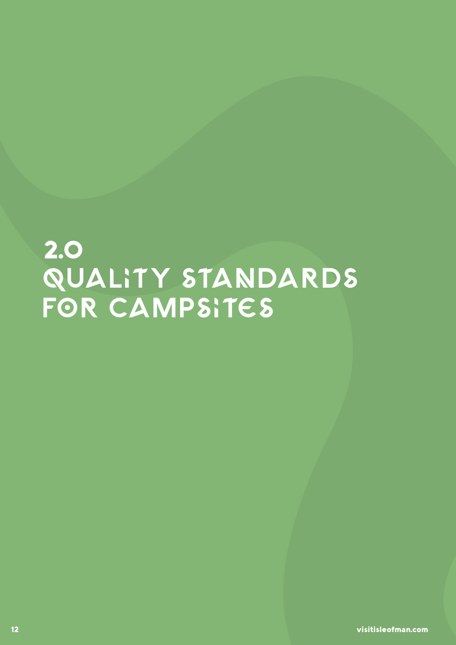# 2.0 QUALITY ST FOR CAMP

12 visitisleofman.com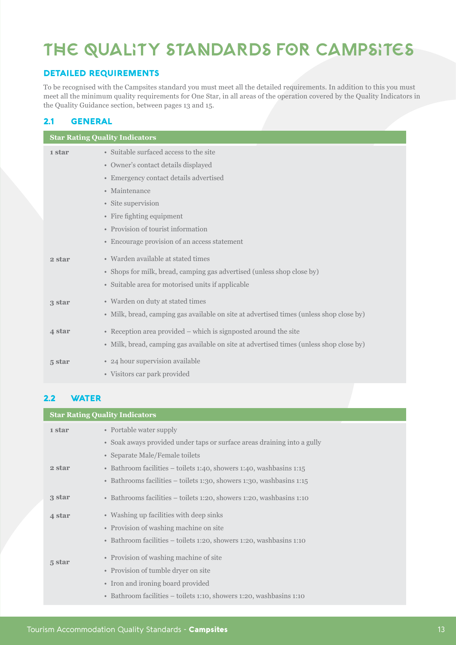# The Quality Standards for Campsites

### Detailed Requirements

To be recognised with the Campsites standard you must meet all the detailed requirements. In addition to this you must meet all the minimum quality requirements for One Star, in all areas of the operation covered by the Quality Indicators in the Quality Guidance section, between pages 13 and 15.

### 2.1 General

| <b>Star Rating Quality Indicators</b> |                                                                                         |  |
|---------------------------------------|-----------------------------------------------------------------------------------------|--|
| 1 star                                | • Suitable surfaced access to the site                                                  |  |
|                                       | • Owner's contact details displayed                                                     |  |
|                                       | • Emergency contact details advertised                                                  |  |
|                                       | • Maintenance                                                                           |  |
|                                       | • Site supervision                                                                      |  |
|                                       | • Fire fighting equipment                                                               |  |
|                                       | • Provision of tourist information                                                      |  |
|                                       | • Encourage provision of an access statement                                            |  |
| 2 star                                | • Warden available at stated times                                                      |  |
|                                       | • Shops for milk, bread, camping gas advertised (unless shop close by)                  |  |
|                                       | • Suitable area for motorised units if applicable                                       |  |
| 3 star                                | • Warden on duty at stated times                                                        |  |
|                                       | • Milk, bread, camping gas available on site at advertised times (unless shop close by) |  |
| 4 star                                | • Reception area provided – which is signposted around the site                         |  |
|                                       | • Milk, bread, camping gas available on site at advertised times (unless shop close by) |  |
| 5 star                                | • 24 hour supervision available                                                         |  |
|                                       | • Visitors car park provided                                                            |  |

### 2.2 WATER

|  | <b>Star Rating Quality Indicators</b> |                                                                         |  |
|--|---------------------------------------|-------------------------------------------------------------------------|--|
|  | 1 star                                | • Portable water supply                                                 |  |
|  |                                       | • Soak aways provided under taps or surface areas draining into a gully |  |
|  |                                       | • Separate Male/Female toilets                                          |  |
|  | 2 star                                | • Bathroom facilities – toilets 1:40, showers 1:40, washbasins 1:15     |  |
|  |                                       | • Bathrooms facilities – toilets 1:30, showers 1:30, washbasins 1:15    |  |
|  | 3 star                                | • Bathrooms facilities – toilets 1:20, showers 1:20, washbasins 1:10    |  |
|  | 4 star                                | • Washing up facilities with deep sinks                                 |  |
|  |                                       | • Provision of washing machine on site                                  |  |
|  |                                       | • Bathroom facilities – toilets 1:20, showers 1:20, washbasins 1:10     |  |
|  | 5 star                                | • Provision of washing machine of site                                  |  |
|  |                                       | • Provision of tumble dryer on site                                     |  |
|  |                                       | • Iron and ironing board provided                                       |  |
|  |                                       | • Bathroom facilities – toilets 1:10, showers 1:20, washbasins 1:10     |  |
|  |                                       |                                                                         |  |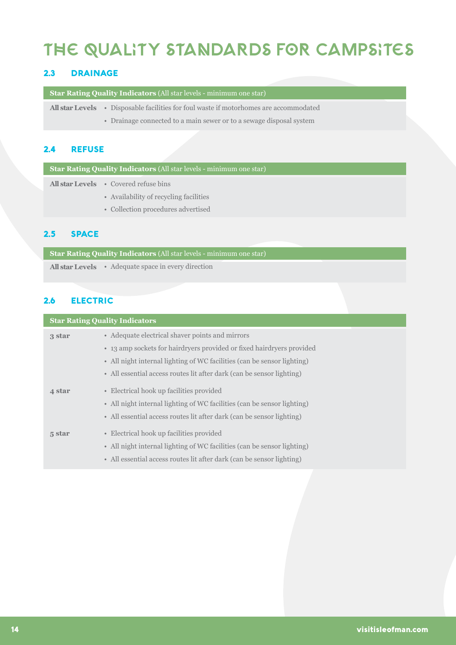# The Quality Standards for Campsites

### 2.3 Drainage

**Star Rating Quality Indicators** (All star levels - minimum one star)

• Disposable facilities for foul waste if motorhomes are accommodated **All star Levels**

• Drainage connected to a main sewer or to a sewage disposal system

### 2.4 Refuse

**Star Rating Quality Indicators** (All star levels - minimum one star)

• Covered refuse bins **All star Levels**

- Availability of recycling facilities
- Collection procedures advertised

#### 2.5 Space

**Star Rating Quality Indicators** (All star levels - minimum one star) • Adequate space in every direction **All star Levels**

#### 2.6 electric

| <b>Star Rating Quality Indicators</b> |                                                                         |  |
|---------------------------------------|-------------------------------------------------------------------------|--|
| 3 star                                | • Adequate electrical shaver points and mirrors                         |  |
|                                       | • 13 amp sockets for hairdryers provided or fixed hairdryers provided   |  |
|                                       | • All night internal lighting of WC facilities (can be sensor lighting) |  |
|                                       | • All essential access routes lit after dark (can be sensor lighting)   |  |
| 4 star                                | • Electrical hook up facilities provided                                |  |
|                                       | • All night internal lighting of WC facilities (can be sensor lighting) |  |
|                                       | • All essential access routes lit after dark (can be sensor lighting)   |  |
| 5 star                                | • Electrical hook up facilities provided                                |  |
|                                       | • All night internal lighting of WC facilities (can be sensor lighting) |  |
|                                       | • All essential access routes lit after dark (can be sensor lighting)   |  |
|                                       |                                                                         |  |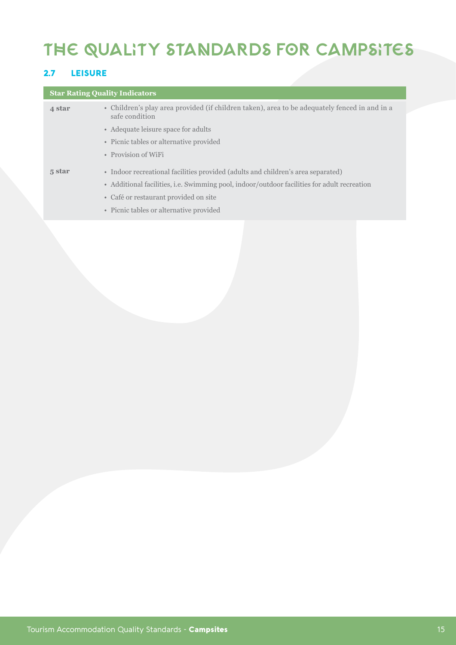# The Quality Standards for Campsites

### 2.7 Leisure

### **Star Rating Quality Indicators**

| 4 star | • Children's play area provided (if children taken), area to be adequately fenced in and in a<br>safe condition |
|--------|-----------------------------------------------------------------------------------------------------------------|
|        | • Adequate leisure space for adults                                                                             |
|        | • Picnic tables or alternative provided                                                                         |
|        | • Provision of WiFi                                                                                             |
| 5 star | • Indoor recreational facilities provided (adults and children's area separated)                                |
|        | • Additional facilities, i.e. Swimming pool, indoor/outdoor facilities for adult recreation                     |
|        | • Café or restaurant provided on site                                                                           |
|        | • Picnic tables or alternative provided                                                                         |